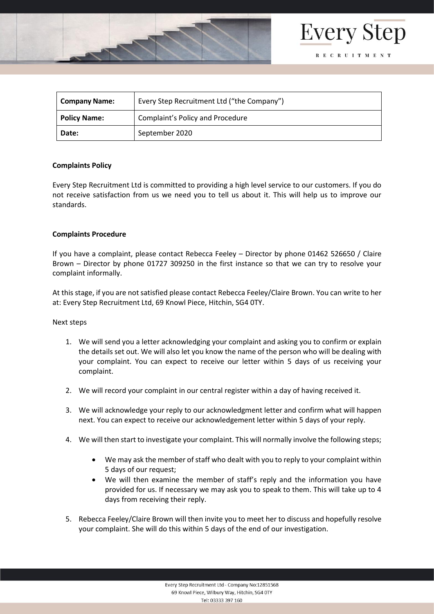



| <b>Company Name:</b> | Every Step Recruitment Ltd ("the Company") |
|----------------------|--------------------------------------------|
| <b>Policy Name:</b>  | Complaint's Policy and Procedure           |
| Date:                | September 2020                             |

## **Complaints Policy**

Every Step Recruitment Ltd is committed to providing a high level service to our customers. If you do not receive satisfaction from us we need you to tell us about it. This will help us to improve our standards.

## **Complaints Procedure**

If you have a complaint, please contact Rebecca Feeley – Director by phone 01462 526650 / Claire Brown – Director by phone 01727 309250 in the first instance so that we can try to resolve your complaint informally.

At this stage, if you are not satisfied please contact Rebecca Feeley/Claire Brown. You can write to her at: Every Step Recruitment Ltd, 69 Knowl Piece, Hitchin, SG4 0TY.

Next steps

- 1. We will send you a letter acknowledging your complaint and asking you to confirm or explain the details set out. We will also let you know the name of the person who will be dealing with your complaint. You can expect to receive our letter within 5 days of us receiving your complaint.
- 2. We will record your complaint in our central register within a day of having received it.
- 3. We will acknowledge your reply to our acknowledgment letter and confirm what will happen next. You can expect to receive our acknowledgement letter within 5 days of your reply.
- 4. We will then start to investigate your complaint. This will normally involve the following steps;
	- We may ask the member of staff who dealt with you to reply to your complaint within 5 days of our request;
	- We will then examine the member of staff's reply and the information you have provided for us. If necessary we may ask you to speak to them. This will take up to 4 days from receiving their reply.
- 5. Rebecca Feeley/Claire Brown will then invite you to meet her to discuss and hopefully resolve your complaint. She will do this within 5 days of the end of our investigation.